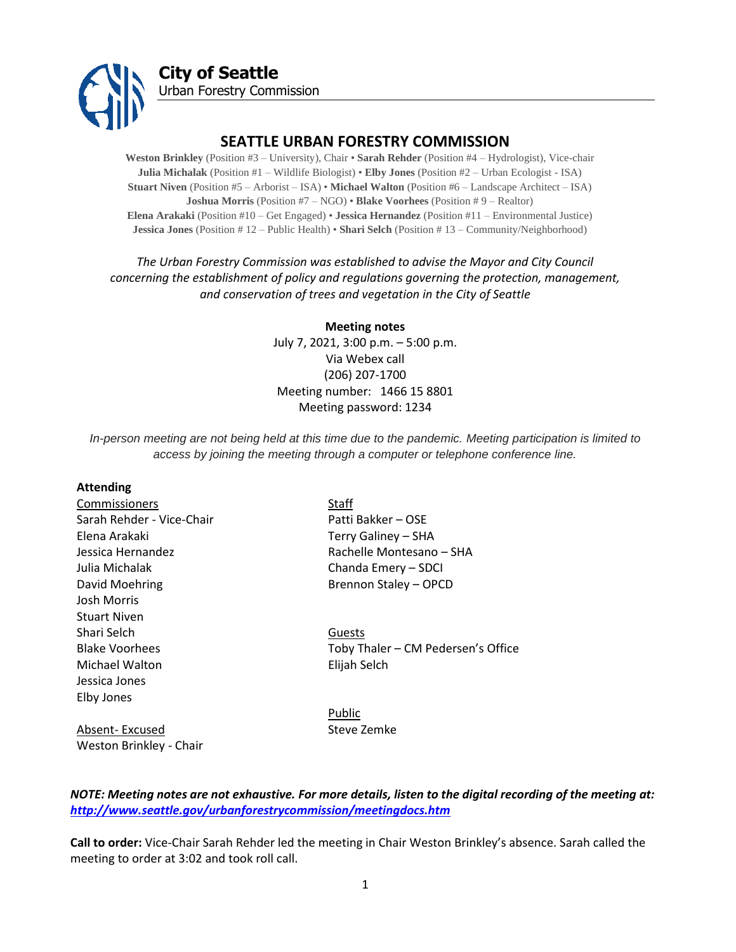

## **SEATTLE URBAN FORESTRY COMMISSION**

**Weston Brinkley** (Position #3 – University), Chair • **Sarah Rehder** (Position #4 – Hydrologist), Vice-chair **Julia Michalak** (Position #1 – Wildlife Biologist) • **Elby Jones** (Position #2 – Urban Ecologist - ISA) **Stuart Niven** (Position #5 – Arborist – ISA) • **Michael Walton** (Position #6 – Landscape Architect – ISA) **Joshua Morris** (Position #7 – NGO) • **Blake Voorhees** (Position # 9 – Realtor) **Elena Arakaki** (Position #10 – Get Engaged) • **Jessica Hernandez** (Position #11 – Environmental Justice) **Jessica Jones** (Position # 12 – Public Health) • **Shari Selch** (Position # 13 – Community/Neighborhood)

## *The Urban Forestry Commission was established to advise the Mayor and City Council concerning the establishment of policy and regulations governing the protection, management, and conservation of trees and vegetation in the City of Seattle*

**Meeting notes** July 7, 2021, 3:00 p.m. – 5:00 p.m. Via Webex call (206) 207-1700 Meeting number: 1466 15 8801 Meeting password: 1234

*In-person meeting are not being held at this time due to the pandemic. Meeting participation is limited to access by joining the meeting through a computer or telephone conference line.*

#### **Attending**

Commissioners Staff Sarah Rehder - Vice-Chair Patti Bakker – OSE Elena Arakaki Terry Galiney – SHA Julia Michalak Chanda Emery – SDCI David Moehring **Brennon Staley – OPCD** Josh Morris Stuart Niven Shari Selch Guests Michael Walton Elijah Selch Jessica Jones Elby Jones

Weston Brinkley - Chair

Jessica Hernandez Rachelle Montesano – SHA

Blake Voorhees Toby Thaler – CM Pedersen's Office

Public Absent- Excused Steve Zemke

*NOTE: Meeting notes are not exhaustive. For more details, listen to the digital recording of the meeting at: <http://www.seattle.gov/urbanforestrycommission/meetingdocs.htm>*

**Call to order:** Vice-Chair Sarah Rehder led the meeting in Chair Weston Brinkley's absence. Sarah called the meeting to order at 3:02 and took roll call.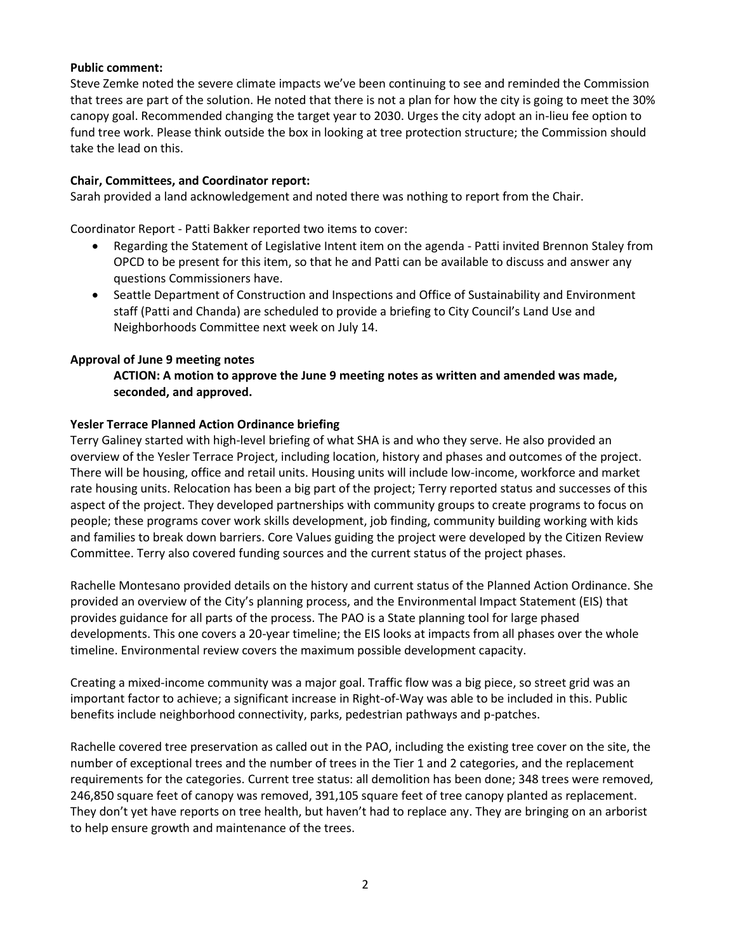### **Public comment:**

Steve Zemke noted the severe climate impacts we've been continuing to see and reminded the Commission that trees are part of the solution. He noted that there is not a plan for how the city is going to meet the 30% canopy goal. Recommended changing the target year to 2030. Urges the city adopt an in-lieu fee option to fund tree work. Please think outside the box in looking at tree protection structure; the Commission should take the lead on this.

### **Chair, Committees, and Coordinator report:**

Sarah provided a land acknowledgement and noted there was nothing to report from the Chair.

Coordinator Report - Patti Bakker reported two items to cover:

- Regarding the Statement of Legislative Intent item on the agenda Patti invited Brennon Staley from OPCD to be present for this item, so that he and Patti can be available to discuss and answer any questions Commissioners have.
- Seattle Department of Construction and Inspections and Office of Sustainability and Environment staff (Patti and Chanda) are scheduled to provide a briefing to City Council's Land Use and Neighborhoods Committee next week on July 14.

### **Approval of June 9 meeting notes**

### **ACTION: A motion to approve the June 9 meeting notes as written and amended was made, seconded, and approved.**

### **Yesler Terrace Planned Action Ordinance briefing**

Terry Galiney started with high-level briefing of what SHA is and who they serve. He also provided an overview of the Yesler Terrace Project, including location, history and phases and outcomes of the project. There will be housing, office and retail units. Housing units will include low-income, workforce and market rate housing units. Relocation has been a big part of the project; Terry reported status and successes of this aspect of the project. They developed partnerships with community groups to create programs to focus on people; these programs cover work skills development, job finding, community building working with kids and families to break down barriers. Core Values guiding the project were developed by the Citizen Review Committee. Terry also covered funding sources and the current status of the project phases.

Rachelle Montesano provided details on the history and current status of the Planned Action Ordinance. She provided an overview of the City's planning process, and the Environmental Impact Statement (EIS) that provides guidance for all parts of the process. The PAO is a State planning tool for large phased developments. This one covers a 20-year timeline; the EIS looks at impacts from all phases over the whole timeline. Environmental review covers the maximum possible development capacity.

Creating a mixed-income community was a major goal. Traffic flow was a big piece, so street grid was an important factor to achieve; a significant increase in Right-of-Way was able to be included in this. Public benefits include neighborhood connectivity, parks, pedestrian pathways and p-patches.

Rachelle covered tree preservation as called out in the PAO, including the existing tree cover on the site, the number of exceptional trees and the number of trees in the Tier 1 and 2 categories, and the replacement requirements for the categories. Current tree status: all demolition has been done; 348 trees were removed, 246,850 square feet of canopy was removed, 391,105 square feet of tree canopy planted as replacement. They don't yet have reports on tree health, but haven't had to replace any. They are bringing on an arborist to help ensure growth and maintenance of the trees.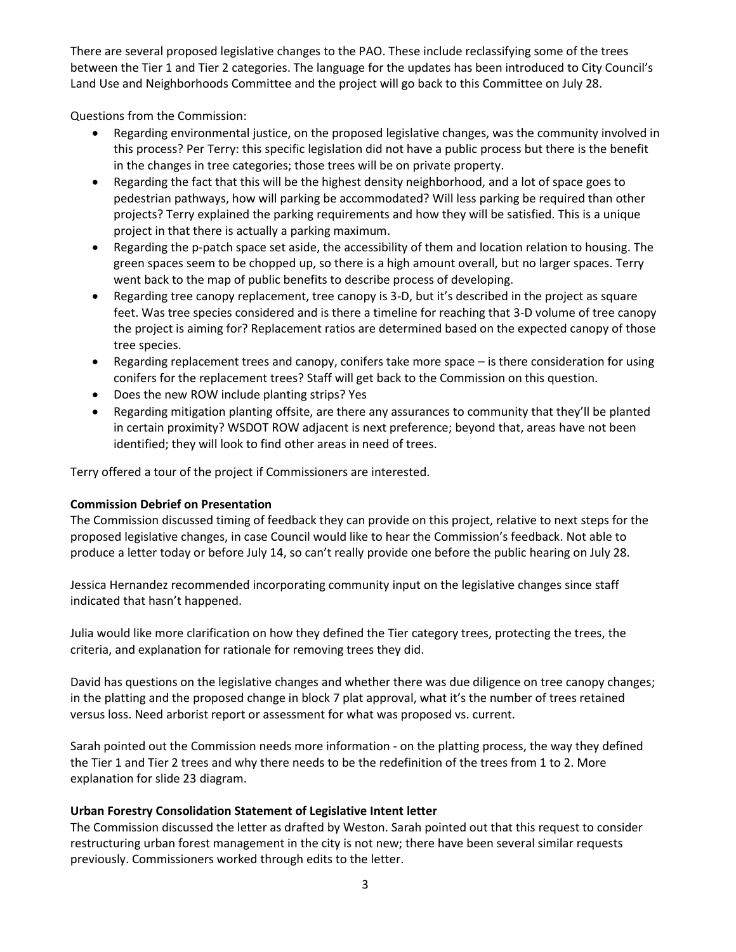There are several proposed legislative changes to the PAO. These include reclassifying some of the trees between the Tier 1 and Tier 2 categories. The language for the updates has been introduced to City Council's Land Use and Neighborhoods Committee and the project will go back to this Committee on July 28.

Questions from the Commission:

- Regarding environmental justice, on the proposed legislative changes, was the community involved in this process? Per Terry: this specific legislation did not have a public process but there is the benefit in the changes in tree categories; those trees will be on private property.
- Regarding the fact that this will be the highest density neighborhood, and a lot of space goes to pedestrian pathways, how will parking be accommodated? Will less parking be required than other projects? Terry explained the parking requirements and how they will be satisfied. This is a unique project in that there is actually a parking maximum.
- Regarding the p-patch space set aside, the accessibility of them and location relation to housing. The green spaces seem to be chopped up, so there is a high amount overall, but no larger spaces. Terry went back to the map of public benefits to describe process of developing.
- Regarding tree canopy replacement, tree canopy is 3-D, but it's described in the project as square feet. Was tree species considered and is there a timeline for reaching that 3-D volume of tree canopy the project is aiming for? Replacement ratios are determined based on the expected canopy of those tree species.
- Regarding replacement trees and canopy, conifers take more space is there consideration for using conifers for the replacement trees? Staff will get back to the Commission on this question.
- Does the new ROW include planting strips? Yes
- Regarding mitigation planting offsite, are there any assurances to community that they'll be planted in certain proximity? WSDOT ROW adjacent is next preference; beyond that, areas have not been identified; they will look to find other areas in need of trees.

Terry offered a tour of the project if Commissioners are interested.

### **Commission Debrief on Presentation**

The Commission discussed timing of feedback they can provide on this project, relative to next steps for the proposed legislative changes, in case Council would like to hear the Commission's feedback. Not able to produce a letter today or before July 14, so can't really provide one before the public hearing on July 28.

Jessica Hernandez recommended incorporating community input on the legislative changes since staff indicated that hasn't happened.

Julia would like more clarification on how they defined the Tier category trees, protecting the trees, the criteria, and explanation for rationale for removing trees they did.

David has questions on the legislative changes and whether there was due diligence on tree canopy changes; in the platting and the proposed change in block 7 plat approval, what it's the number of trees retained versus loss. Need arborist report or assessment for what was proposed vs. current.

Sarah pointed out the Commission needs more information - on the platting process, the way they defined the Tier 1 and Tier 2 trees and why there needs to be the redefinition of the trees from 1 to 2. More explanation for slide 23 diagram.

### **Urban Forestry Consolidation Statement of Legislative Intent letter**

The Commission discussed the letter as drafted by Weston. Sarah pointed out that this request to consider restructuring urban forest management in the city is not new; there have been several similar requests previously. Commissioners worked through edits to the letter.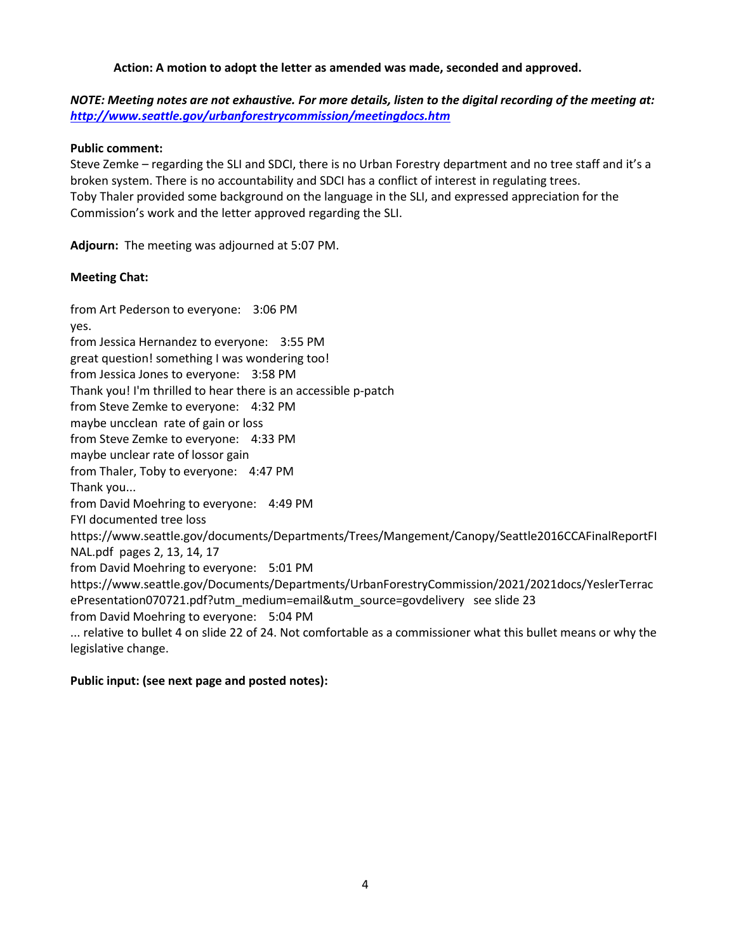### **Action: A motion to adopt the letter as amended was made, seconded and approved.**

*NOTE: Meeting notes are not exhaustive. For more details, listen to the digital recording of the meeting at: <http://www.seattle.gov/urbanforestrycommission/meetingdocs.htm>*

### **Public comment:**

Steve Zemke – regarding the SLI and SDCI, there is no Urban Forestry department and no tree staff and it's a broken system. There is no accountability and SDCI has a conflict of interest in regulating trees. Toby Thaler provided some background on the language in the SLI, and expressed appreciation for the Commission's work and the letter approved regarding the SLI.

**Adjourn:** The meeting was adjourned at 5:07 PM.

### **Meeting Chat:**

from Art Pederson to everyone: 3:06 PM yes. from Jessica Hernandez to everyone: 3:55 PM great question! something I was wondering too! from Jessica Jones to everyone: 3:58 PM Thank you! I'm thrilled to hear there is an accessible p-patch from Steve Zemke to everyone: 4:32 PM maybe uncclean rate of gain or loss from Steve Zemke to everyone: 4:33 PM maybe unclear rate of lossor gain from Thaler, Toby to everyone: 4:47 PM Thank you... from David Moehring to everyone: 4:49 PM FYI documented tree loss https://www.seattle.gov/documents/Departments/Trees/Mangement/Canopy/Seattle2016CCAFinalReportFI NAL.pdf pages 2, 13, 14, 17 from David Moehring to everyone: 5:01 PM https://www.seattle.gov/Documents/Departments/UrbanForestryCommission/2021/2021docs/YeslerTerrac ePresentation070721.pdf?utm\_medium=email&utm\_source=govdelivery see slide 23 from David Moehring to everyone: 5:04 PM ... relative to bullet 4 on slide 22 of 24. Not comfortable as a commissioner what this bullet means or why the legislative change.

### **Public input: (see next page and posted notes):**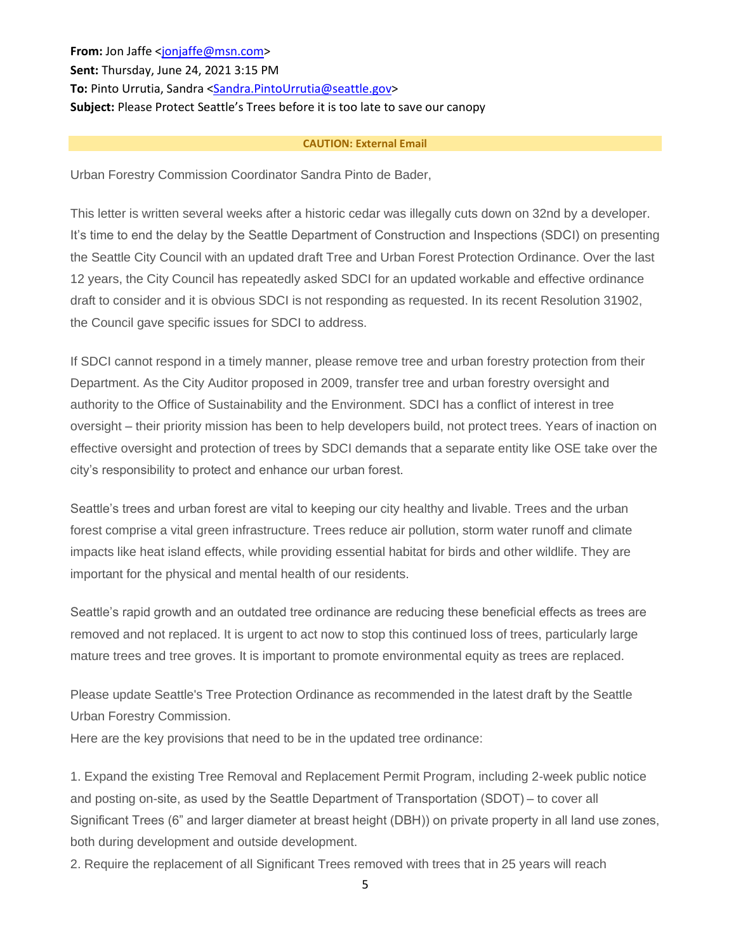**From:** Jon Jaffe [<jonjaffe@msn.com>](mailto:jonjaffe@msn.com) **Sent:** Thursday, June 24, 2021 3:15 PM To: Pinto Urrutia, Sandra [<Sandra.PintoUrrutia@seattle.gov>](mailto:Sandra.PintoUrrutia@seattle.gov) **Subject:** Please Protect Seattle's Trees before it is too late to save our canopy

#### **CAUTION: External Email**

Urban Forestry Commission Coordinator Sandra Pinto de Bader,

This letter is written several weeks after a historic cedar was illegally cuts down on 32nd by a developer. It's time to end the delay by the Seattle Department of Construction and Inspections (SDCI) on presenting the Seattle City Council with an updated draft Tree and Urban Forest Protection Ordinance. Over the last 12 years, the City Council has repeatedly asked SDCI for an updated workable and effective ordinance draft to consider and it is obvious SDCI is not responding as requested. In its recent Resolution 31902, the Council gave specific issues for SDCI to address.

If SDCI cannot respond in a timely manner, please remove tree and urban forestry protection from their Department. As the City Auditor proposed in 2009, transfer tree and urban forestry oversight and authority to the Office of Sustainability and the Environment. SDCI has a conflict of interest in tree oversight – their priority mission has been to help developers build, not protect trees. Years of inaction on effective oversight and protection of trees by SDCI demands that a separate entity like OSE take over the city's responsibility to protect and enhance our urban forest.

Seattle's trees and urban forest are vital to keeping our city healthy and livable. Trees and the urban forest comprise a vital green infrastructure. Trees reduce air pollution, storm water runoff and climate impacts like heat island effects, while providing essential habitat for birds and other wildlife. They are important for the physical and mental health of our residents.

Seattle's rapid growth and an outdated tree ordinance are reducing these beneficial effects as trees are removed and not replaced. It is urgent to act now to stop this continued loss of trees, particularly large mature trees and tree groves. It is important to promote environmental equity as trees are replaced.

Please update Seattle's Tree Protection Ordinance as recommended in the latest draft by the Seattle Urban Forestry Commission.

Here are the key provisions that need to be in the updated tree ordinance:

1. Expand the existing Tree Removal and Replacement Permit Program, including 2-week public notice and posting on-site, as used by the Seattle Department of Transportation (SDOT) – to cover all Significant Trees (6" and larger diameter at breast height (DBH)) on private property in all land use zones, both during development and outside development.

2. Require the replacement of all Significant Trees removed with trees that in 25 years will reach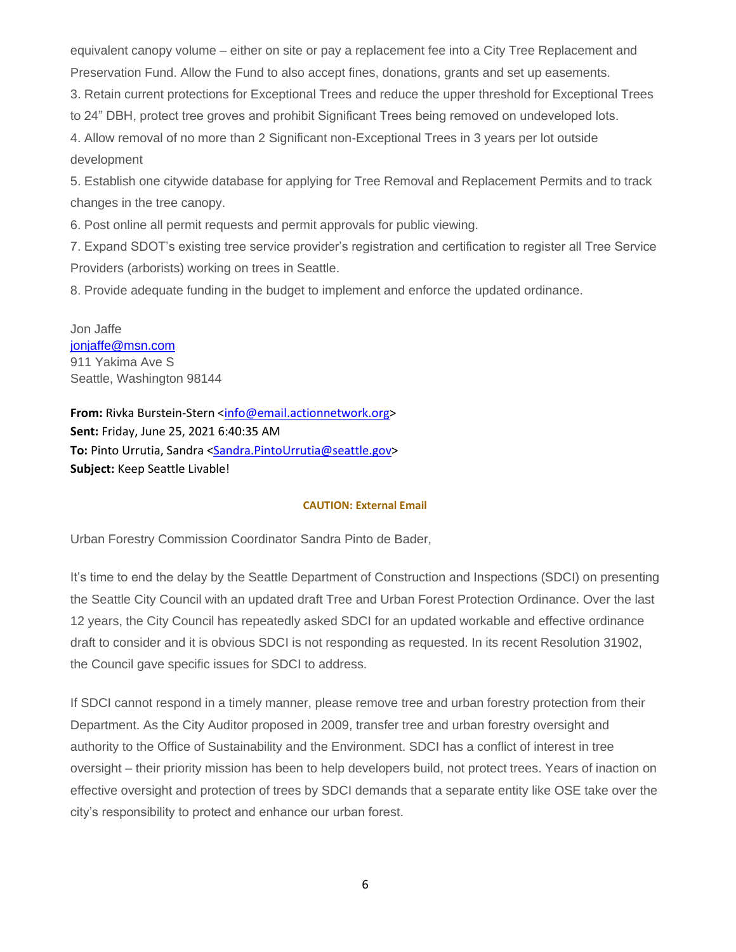equivalent canopy volume – either on site or pay a replacement fee into a City Tree Replacement and Preservation Fund. Allow the Fund to also accept fines, donations, grants and set up easements.

3. Retain current protections for Exceptional Trees and reduce the upper threshold for Exceptional Trees

to 24" DBH, protect tree groves and prohibit Significant Trees being removed on undeveloped lots.

4. Allow removal of no more than 2 Significant non-Exceptional Trees in 3 years per lot outside development

5. Establish one citywide database for applying for Tree Removal and Replacement Permits and to track changes in the tree canopy.

6. Post online all permit requests and permit approvals for public viewing.

7. Expand SDOT's existing tree service provider's registration and certification to register all Tree Service Providers (arborists) working on trees in Seattle.

8. Provide adequate funding in the budget to implement and enforce the updated ordinance.

Jon Jaffe [jonjaffe@msn.com](mailto:jonjaffe@msn.com) 911 Yakima Ave S Seattle, Washington 98144

**From:** Rivka Burstein-Stern [<info@email.actionnetwork.org>](mailto:info@email.actionnetwork.org) **Sent:** Friday, June 25, 2021 6:40:35 AM **To:** Pinto Urrutia, Sandra [<Sandra.PintoUrrutia@seattle.gov>](mailto:Sandra.PintoUrrutia@seattle.gov) **Subject:** Keep Seattle Livable!

#### **CAUTION: External Email**

Urban Forestry Commission Coordinator Sandra Pinto de Bader,

It's time to end the delay by the Seattle Department of Construction and Inspections (SDCI) on presenting the Seattle City Council with an updated draft Tree and Urban Forest Protection Ordinance. Over the last 12 years, the City Council has repeatedly asked SDCI for an updated workable and effective ordinance draft to consider and it is obvious SDCI is not responding as requested. In its recent Resolution 31902, the Council gave specific issues for SDCI to address.

If SDCI cannot respond in a timely manner, please remove tree and urban forestry protection from their Department. As the City Auditor proposed in 2009, transfer tree and urban forestry oversight and authority to the Office of Sustainability and the Environment. SDCI has a conflict of interest in tree oversight – their priority mission has been to help developers build, not protect trees. Years of inaction on effective oversight and protection of trees by SDCI demands that a separate entity like OSE take over the city's responsibility to protect and enhance our urban forest.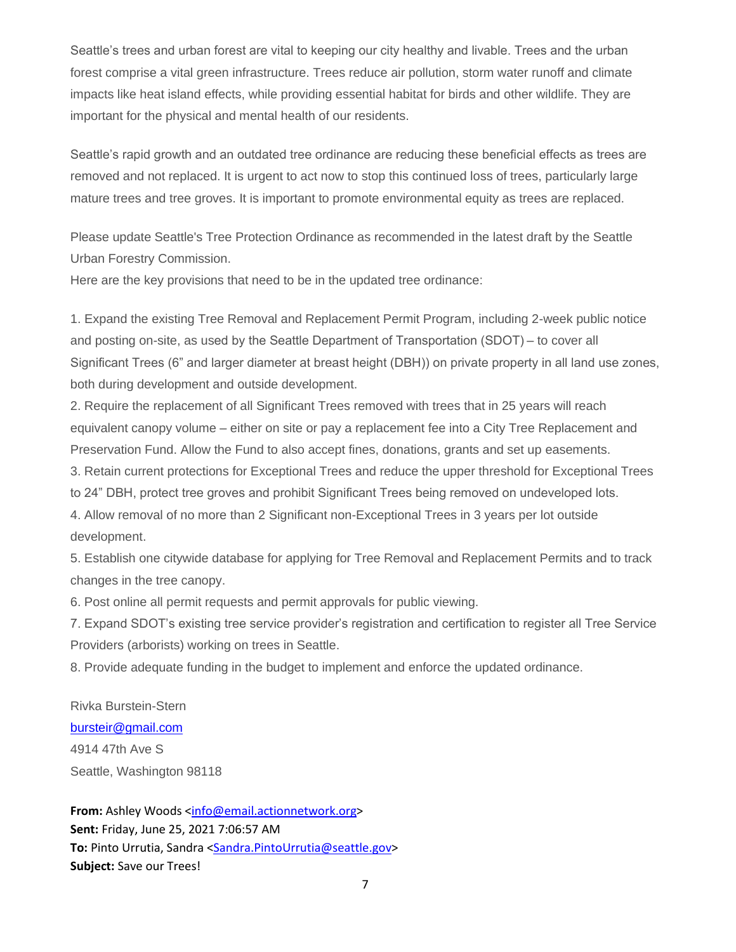Seattle's trees and urban forest are vital to keeping our city healthy and livable. Trees and the urban forest comprise a vital green infrastructure. Trees reduce air pollution, storm water runoff and climate impacts like heat island effects, while providing essential habitat for birds and other wildlife. They are important for the physical and mental health of our residents.

Seattle's rapid growth and an outdated tree ordinance are reducing these beneficial effects as trees are removed and not replaced. It is urgent to act now to stop this continued loss of trees, particularly large mature trees and tree groves. It is important to promote environmental equity as trees are replaced.

Please update Seattle's Tree Protection Ordinance as recommended in the latest draft by the Seattle Urban Forestry Commission.

Here are the key provisions that need to be in the updated tree ordinance:

1. Expand the existing Tree Removal and Replacement Permit Program, including 2-week public notice and posting on-site, as used by the Seattle Department of Transportation (SDOT) – to cover all Significant Trees (6" and larger diameter at breast height (DBH)) on private property in all land use zones, both during development and outside development.

2. Require the replacement of all Significant Trees removed with trees that in 25 years will reach equivalent canopy volume – either on site or pay a replacement fee into a City Tree Replacement and Preservation Fund. Allow the Fund to also accept fines, donations, grants and set up easements.

3. Retain current protections for Exceptional Trees and reduce the upper threshold for Exceptional Trees

to 24" DBH, protect tree groves and prohibit Significant Trees being removed on undeveloped lots.

4. Allow removal of no more than 2 Significant non-Exceptional Trees in 3 years per lot outside development.

5. Establish one citywide database for applying for Tree Removal and Replacement Permits and to track changes in the tree canopy.

6. Post online all permit requests and permit approvals for public viewing.

7. Expand SDOT's existing tree service provider's registration and certification to register all Tree Service Providers (arborists) working on trees in Seattle.

8. Provide adequate funding in the budget to implement and enforce the updated ordinance.

Rivka Burstein-Stern [bursteir@gmail.com](mailto:bursteir@gmail.com) 4914 47th Ave S Seattle, Washington 98118

From: Ashley Woods [<info@email.actionnetwork.org>](mailto:info@email.actionnetwork.org) **Sent:** Friday, June 25, 2021 7:06:57 AM To: Pinto Urrutia, Sandra [<Sandra.PintoUrrutia@seattle.gov>](mailto:Sandra.PintoUrrutia@seattle.gov) **Subject:** Save our Trees!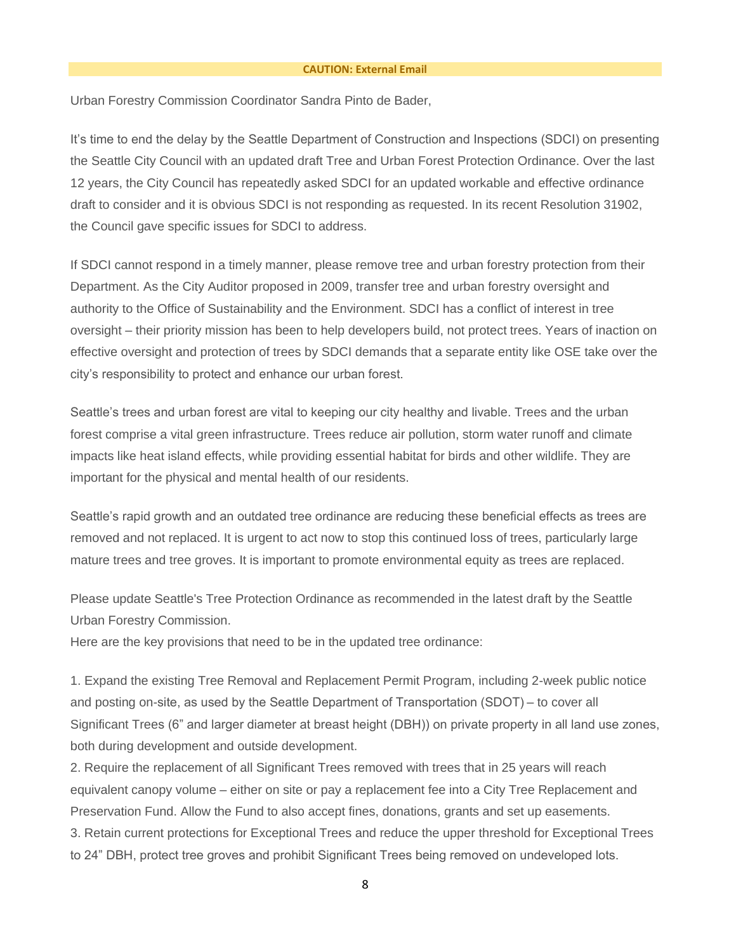#### **CAUTION: External Email**

Urban Forestry Commission Coordinator Sandra Pinto de Bader,

It's time to end the delay by the Seattle Department of Construction and Inspections (SDCI) on presenting the Seattle City Council with an updated draft Tree and Urban Forest Protection Ordinance. Over the last 12 years, the City Council has repeatedly asked SDCI for an updated workable and effective ordinance draft to consider and it is obvious SDCI is not responding as requested. In its recent Resolution 31902, the Council gave specific issues for SDCI to address.

If SDCI cannot respond in a timely manner, please remove tree and urban forestry protection from their Department. As the City Auditor proposed in 2009, transfer tree and urban forestry oversight and authority to the Office of Sustainability and the Environment. SDCI has a conflict of interest in tree oversight – their priority mission has been to help developers build, not protect trees. Years of inaction on effective oversight and protection of trees by SDCI demands that a separate entity like OSE take over the city's responsibility to protect and enhance our urban forest.

Seattle's trees and urban forest are vital to keeping our city healthy and livable. Trees and the urban forest comprise a vital green infrastructure. Trees reduce air pollution, storm water runoff and climate impacts like heat island effects, while providing essential habitat for birds and other wildlife. They are important for the physical and mental health of our residents.

Seattle's rapid growth and an outdated tree ordinance are reducing these beneficial effects as trees are removed and not replaced. It is urgent to act now to stop this continued loss of trees, particularly large mature trees and tree groves. It is important to promote environmental equity as trees are replaced.

Please update Seattle's Tree Protection Ordinance as recommended in the latest draft by the Seattle Urban Forestry Commission.

Here are the key provisions that need to be in the updated tree ordinance:

1. Expand the existing Tree Removal and Replacement Permit Program, including 2-week public notice and posting on-site, as used by the Seattle Department of Transportation (SDOT) – to cover all Significant Trees (6" and larger diameter at breast height (DBH)) on private property in all land use zones, both during development and outside development.

2. Require the replacement of all Significant Trees removed with trees that in 25 years will reach equivalent canopy volume – either on site or pay a replacement fee into a City Tree Replacement and Preservation Fund. Allow the Fund to also accept fines, donations, grants and set up easements. 3. Retain current protections for Exceptional Trees and reduce the upper threshold for Exceptional Trees to 24" DBH, protect tree groves and prohibit Significant Trees being removed on undeveloped lots.

8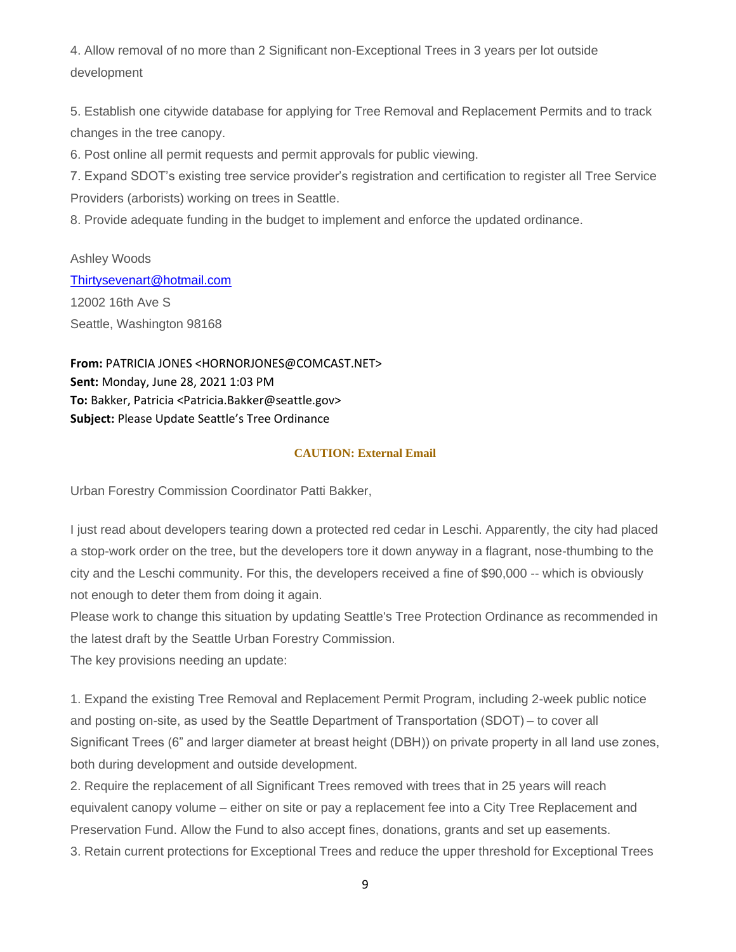4. Allow removal of no more than 2 Significant non-Exceptional Trees in 3 years per lot outside development

5. Establish one citywide database for applying for Tree Removal and Replacement Permits and to track changes in the tree canopy.

6. Post online all permit requests and permit approvals for public viewing.

7. Expand SDOT's existing tree service provider's registration and certification to register all Tree Service Providers (arborists) working on trees in Seattle.

8. Provide adequate funding in the budget to implement and enforce the updated ordinance.

Ashley Woods [Thirtysevenart@hotmail.com](mailto:Thirtysevenart@hotmail.com) 12002 16th Ave S Seattle, Washington 98168

**From:** PATRICIA JONES <HORNORJONES@COMCAST.NET> **Sent:** Monday, June 28, 2021 1:03 PM **To:** Bakker, Patricia <Patricia.Bakker@seattle.gov> **Subject:** Please Update Seattle's Tree Ordinance

### **CAUTION: External Email**

Urban Forestry Commission Coordinator Patti Bakker,

I just read about developers tearing down a protected red cedar in Leschi. Apparently, the city had placed a stop-work order on the tree, but the developers tore it down anyway in a flagrant, nose-thumbing to the city and the Leschi community. For this, the developers received a fine of \$90,000 -- which is obviously not enough to deter them from doing it again.

Please work to change this situation by updating Seattle's Tree Protection Ordinance as recommended in the latest draft by the Seattle Urban Forestry Commission.

The key provisions needing an update:

1. Expand the existing Tree Removal and Replacement Permit Program, including 2-week public notice and posting on-site, as used by the Seattle Department of Transportation (SDOT) – to cover all Significant Trees (6" and larger diameter at breast height (DBH)) on private property in all land use zones, both during development and outside development.

2. Require the replacement of all Significant Trees removed with trees that in 25 years will reach equivalent canopy volume – either on site or pay a replacement fee into a City Tree Replacement and Preservation Fund. Allow the Fund to also accept fines, donations, grants and set up easements.

3. Retain current protections for Exceptional Trees and reduce the upper threshold for Exceptional Trees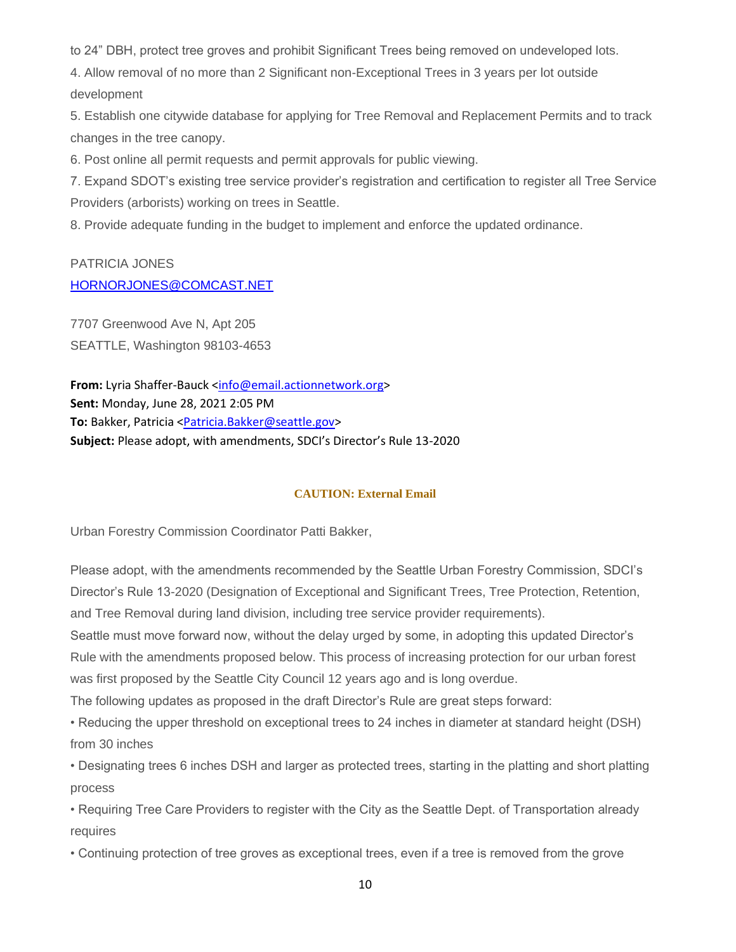to 24" DBH, protect tree groves and prohibit Significant Trees being removed on undeveloped lots.

4. Allow removal of no more than 2 Significant non-Exceptional Trees in 3 years per lot outside development

5. Establish one citywide database for applying for Tree Removal and Replacement Permits and to track changes in the tree canopy.

6. Post online all permit requests and permit approvals for public viewing.

7. Expand SDOT's existing tree service provider's registration and certification to register all Tree Service Providers (arborists) working on trees in Seattle.

8. Provide adequate funding in the budget to implement and enforce the updated ordinance.

# PATRICIA JONES [HORNORJONES@COMCAST.NET](mailto:HORNORJONES@COMCAST.NET)

7707 Greenwood Ave N, Apt 205 SEATTLE, Washington 98103-4653

**From:** Lyria Shaffer-Bauck [<info@email.actionnetwork.org>](mailto:info@email.actionnetwork.org) **Sent:** Monday, June 28, 2021 2:05 PM To: Bakker, Patricia [<Patricia.Bakker@seattle.gov>](mailto:Patricia.Bakker@seattle.gov) **Subject:** Please adopt, with amendments, SDCI's Director's Rule 13-2020

### **CAUTION: External Email**

Urban Forestry Commission Coordinator Patti Bakker,

Please adopt, with the amendments recommended by the Seattle Urban Forestry Commission, SDCI's Director's Rule 13-2020 (Designation of Exceptional and Significant Trees, Tree Protection, Retention, and Tree Removal during land division, including tree service provider requirements).

Seattle must move forward now, without the delay urged by some, in adopting this updated Director's Rule with the amendments proposed below. This process of increasing protection for our urban forest was first proposed by the Seattle City Council 12 years ago and is long overdue.

The following updates as proposed in the draft Director's Rule are great steps forward:

• Reducing the upper threshold on exceptional trees to 24 inches in diameter at standard height (DSH) from 30 inches

• Designating trees 6 inches DSH and larger as protected trees, starting in the platting and short platting process

• Requiring Tree Care Providers to register with the City as the Seattle Dept. of Transportation already requires

• Continuing protection of tree groves as exceptional trees, even if a tree is removed from the grove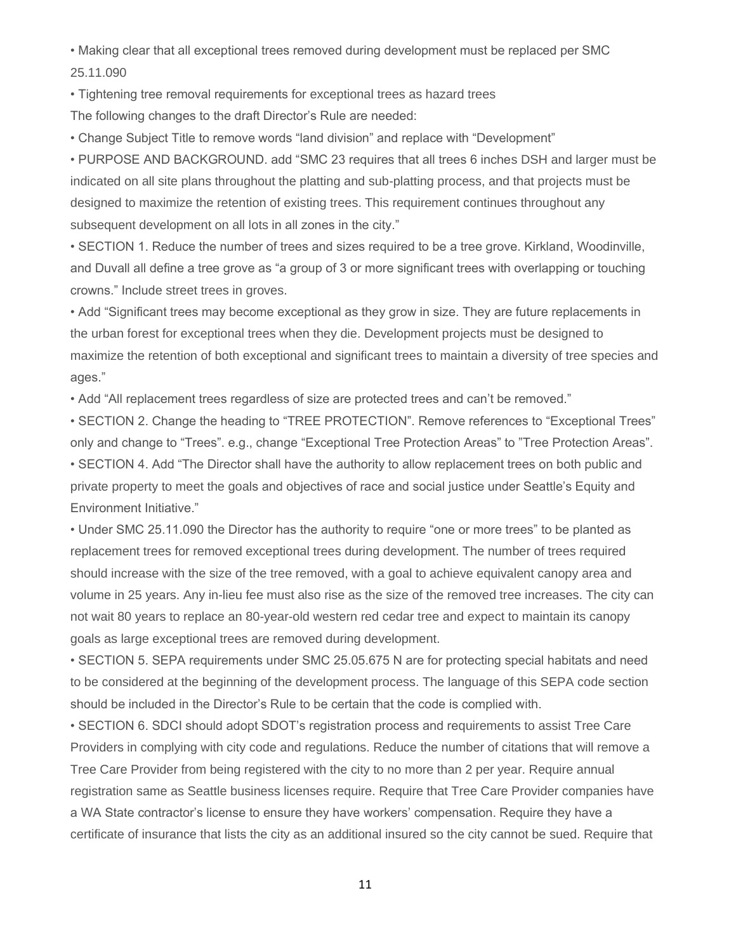• Making clear that all exceptional trees removed during development must be replaced per SMC 25.11.090

• Tightening tree removal requirements for exceptional trees as hazard trees

The following changes to the draft Director's Rule are needed:

• Change Subject Title to remove words "land division" and replace with "Development"

• PURPOSE AND BACKGROUND. add "SMC 23 requires that all trees 6 inches DSH and larger must be indicated on all site plans throughout the platting and sub-platting process, and that projects must be designed to maximize the retention of existing trees. This requirement continues throughout any subsequent development on all lots in all zones in the city."

• SECTION 1. Reduce the number of trees and sizes required to be a tree grove. Kirkland, Woodinville, and Duvall all define a tree grove as "a group of 3 or more significant trees with overlapping or touching crowns." Include street trees in groves.

• Add "Significant trees may become exceptional as they grow in size. They are future replacements in the urban forest for exceptional trees when they die. Development projects must be designed to maximize the retention of both exceptional and significant trees to maintain a diversity of tree species and ages."

• Add "All replacement trees regardless of size are protected trees and can't be removed."

• SECTION 2. Change the heading to "TREE PROTECTION". Remove references to "Exceptional Trees" only and change to "Trees". e.g., change "Exceptional Tree Protection Areas" to "Tree Protection Areas". • SECTION 4. Add "The Director shall have the authority to allow replacement trees on both public and private property to meet the goals and objectives of race and social justice under Seattle's Equity and Environment Initiative."

• Under SMC 25.11.090 the Director has the authority to require "one or more trees" to be planted as replacement trees for removed exceptional trees during development. The number of trees required should increase with the size of the tree removed, with a goal to achieve equivalent canopy area and volume in 25 years. Any in-lieu fee must also rise as the size of the removed tree increases. The city can not wait 80 years to replace an 80-year-old western red cedar tree and expect to maintain its canopy goals as large exceptional trees are removed during development.

• SECTION 5. SEPA requirements under SMC 25.05.675 N are for protecting special habitats and need to be considered at the beginning of the development process. The language of this SEPA code section should be included in the Director's Rule to be certain that the code is complied with.

• SECTION 6. SDCI should adopt SDOT's registration process and requirements to assist Tree Care Providers in complying with city code and regulations. Reduce the number of citations that will remove a Tree Care Provider from being registered with the city to no more than 2 per year. Require annual registration same as Seattle business licenses require. Require that Tree Care Provider companies have a WA State contractor's license to ensure they have workers' compensation. Require they have a certificate of insurance that lists the city as an additional insured so the city cannot be sued. Require that

11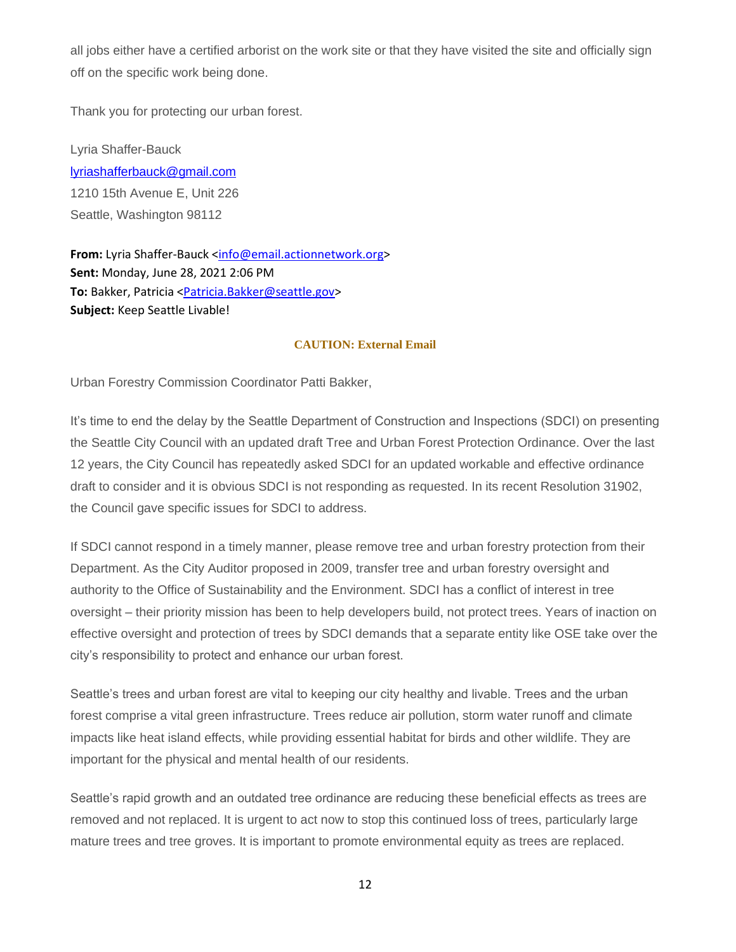all jobs either have a certified arborist on the work site or that they have visited the site and officially sign off on the specific work being done.

Thank you for protecting our urban forest.

Lyria Shaffer-Bauck [lyriashafferbauck@gmail.com](mailto:lyriashafferbauck@gmail.com) 1210 15th Avenue E, Unit 226 Seattle, Washington 98112

**From:** Lyria Shaffer-Bauck [<info@email.actionnetwork.org>](mailto:info@email.actionnetwork.org) **Sent:** Monday, June 28, 2021 2:06 PM **To:** Bakker, Patricia [<Patricia.Bakker@seattle.gov>](mailto:Patricia.Bakker@seattle.gov) **Subject:** Keep Seattle Livable!

### **CAUTION: External Email**

Urban Forestry Commission Coordinator Patti Bakker,

It's time to end the delay by the Seattle Department of Construction and Inspections (SDCI) on presenting the Seattle City Council with an updated draft Tree and Urban Forest Protection Ordinance. Over the last 12 years, the City Council has repeatedly asked SDCI for an updated workable and effective ordinance draft to consider and it is obvious SDCI is not responding as requested. In its recent Resolution 31902, the Council gave specific issues for SDCI to address.

If SDCI cannot respond in a timely manner, please remove tree and urban forestry protection from their Department. As the City Auditor proposed in 2009, transfer tree and urban forestry oversight and authority to the Office of Sustainability and the Environment. SDCI has a conflict of interest in tree oversight – their priority mission has been to help developers build, not protect trees. Years of inaction on effective oversight and protection of trees by SDCI demands that a separate entity like OSE take over the city's responsibility to protect and enhance our urban forest.

Seattle's trees and urban forest are vital to keeping our city healthy and livable. Trees and the urban forest comprise a vital green infrastructure. Trees reduce air pollution, storm water runoff and climate impacts like heat island effects, while providing essential habitat for birds and other wildlife. They are important for the physical and mental health of our residents.

Seattle's rapid growth and an outdated tree ordinance are reducing these beneficial effects as trees are removed and not replaced. It is urgent to act now to stop this continued loss of trees, particularly large mature trees and tree groves. It is important to promote environmental equity as trees are replaced.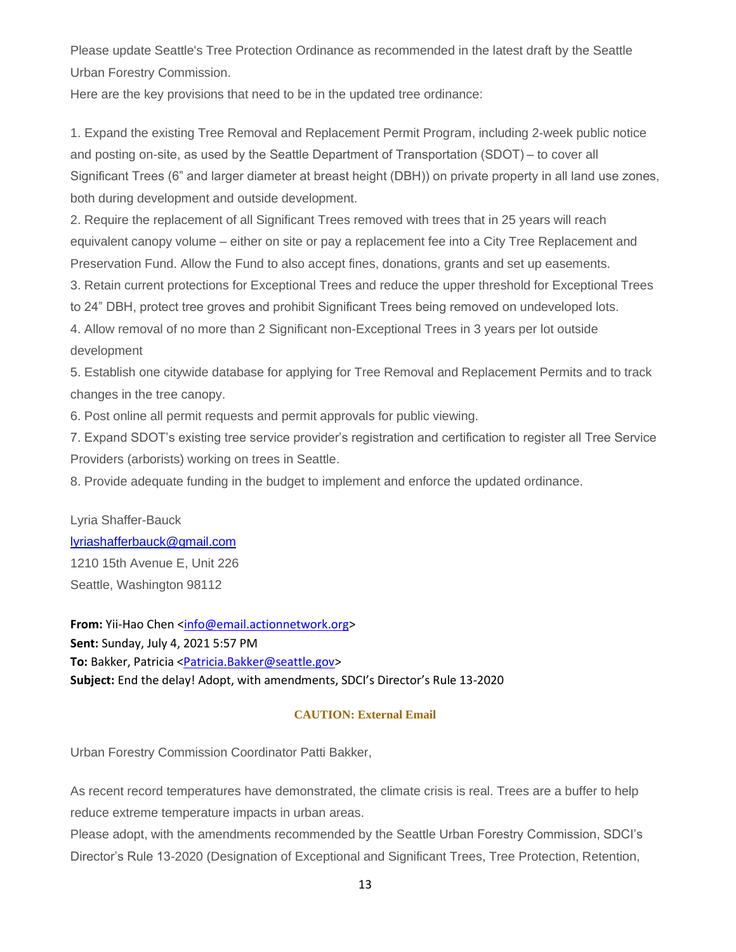Please update Seattle's Tree Protection Ordinance as recommended in the latest draft by the Seattle Urban Forestry Commission.

Here are the key provisions that need to be in the updated tree ordinance:

1. Expand the existing Tree Removal and Replacement Permit Program, including 2-week public notice and posting on-site, as used by the Seattle Department of Transportation (SDOT) – to cover all Significant Trees (6" and larger diameter at breast height (DBH)) on private property in all land use zones, both during development and outside development.

2. Require the replacement of all Significant Trees removed with trees that in 25 years will reach equivalent canopy volume – either on site or pay a replacement fee into a City Tree Replacement and Preservation Fund. Allow the Fund to also accept fines, donations, grants and set up easements.

3. Retain current protections for Exceptional Trees and reduce the upper threshold for Exceptional Trees

to 24" DBH, protect tree groves and prohibit Significant Trees being removed on undeveloped lots.

4. Allow removal of no more than 2 Significant non-Exceptional Trees in 3 years per lot outside development

5. Establish one citywide database for applying for Tree Removal and Replacement Permits and to track changes in the tree canopy.

6. Post online all permit requests and permit approvals for public viewing.

7. Expand SDOT's existing tree service provider's registration and certification to register all Tree Service Providers (arborists) working on trees in Seattle.

8. Provide adequate funding in the budget to implement and enforce the updated ordinance.

Lyria Shaffer-Bauck [lyriashafferbauck@gmail.com](mailto:lyriashafferbauck@gmail.com) 1210 15th Avenue E, Unit 226 Seattle, Washington 98112

**From:** Yii-Hao Chen [<info@email.actionnetwork.org>](mailto:info@email.actionnetwork.org) **Sent:** Sunday, July 4, 2021 5:57 PM **To:** Bakker, Patricia [<Patricia.Bakker@seattle.gov>](mailto:Patricia.Bakker@seattle.gov) **Subject:** End the delay! Adopt, with amendments, SDCI's Director's Rule 13-2020

### **CAUTION: External Email**

Urban Forestry Commission Coordinator Patti Bakker,

As recent record temperatures have demonstrated, the climate crisis is real. Trees are a buffer to help reduce extreme temperature impacts in urban areas.

Please adopt, with the amendments recommended by the Seattle Urban Forestry Commission, SDCI's Director's Rule 13-2020 (Designation of Exceptional and Significant Trees, Tree Protection, Retention,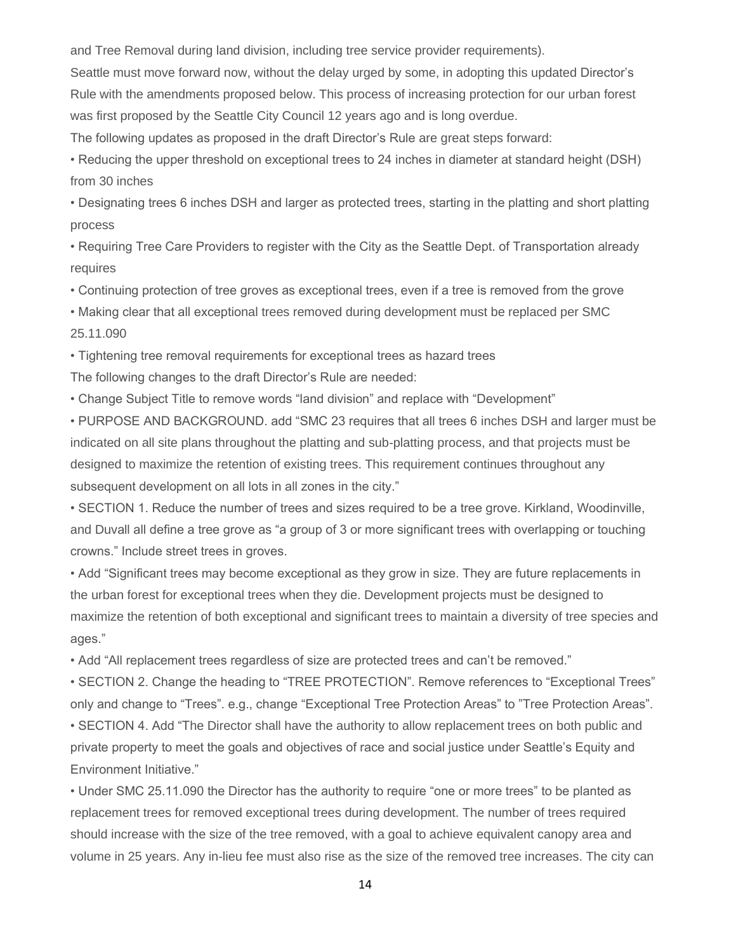and Tree Removal during land division, including tree service provider requirements).

Seattle must move forward now, without the delay urged by some, in adopting this updated Director's Rule with the amendments proposed below. This process of increasing protection for our urban forest was first proposed by the Seattle City Council 12 years ago and is long overdue.

The following updates as proposed in the draft Director's Rule are great steps forward:

• Reducing the upper threshold on exceptional trees to 24 inches in diameter at standard height (DSH) from 30 inches

• Designating trees 6 inches DSH and larger as protected trees, starting in the platting and short platting process

• Requiring Tree Care Providers to register with the City as the Seattle Dept. of Transportation already requires

• Continuing protection of tree groves as exceptional trees, even if a tree is removed from the grove

• Making clear that all exceptional trees removed during development must be replaced per SMC 25.11.090

• Tightening tree removal requirements for exceptional trees as hazard trees

The following changes to the draft Director's Rule are needed:

• Change Subject Title to remove words "land division" and replace with "Development"

• PURPOSE AND BACKGROUND. add "SMC 23 requires that all trees 6 inches DSH and larger must be indicated on all site plans throughout the platting and sub-platting process, and that projects must be designed to maximize the retention of existing trees. This requirement continues throughout any subsequent development on all lots in all zones in the city."

• SECTION 1. Reduce the number of trees and sizes required to be a tree grove. Kirkland, Woodinville, and Duvall all define a tree grove as "a group of 3 or more significant trees with overlapping or touching crowns." Include street trees in groves.

• Add "Significant trees may become exceptional as they grow in size. They are future replacements in the urban forest for exceptional trees when they die. Development projects must be designed to maximize the retention of both exceptional and significant trees to maintain a diversity of tree species and ages."

• Add "All replacement trees regardless of size are protected trees and can't be removed."

• SECTION 2. Change the heading to "TREE PROTECTION". Remove references to "Exceptional Trees" only and change to "Trees". e.g., change "Exceptional Tree Protection Areas" to "Tree Protection Areas".

• SECTION 4. Add "The Director shall have the authority to allow replacement trees on both public and private property to meet the goals and objectives of race and social justice under Seattle's Equity and Environment Initiative."

• Under SMC 25.11.090 the Director has the authority to require "one or more trees" to be planted as replacement trees for removed exceptional trees during development. The number of trees required should increase with the size of the tree removed, with a goal to achieve equivalent canopy area and volume in 25 years. Any in-lieu fee must also rise as the size of the removed tree increases. The city can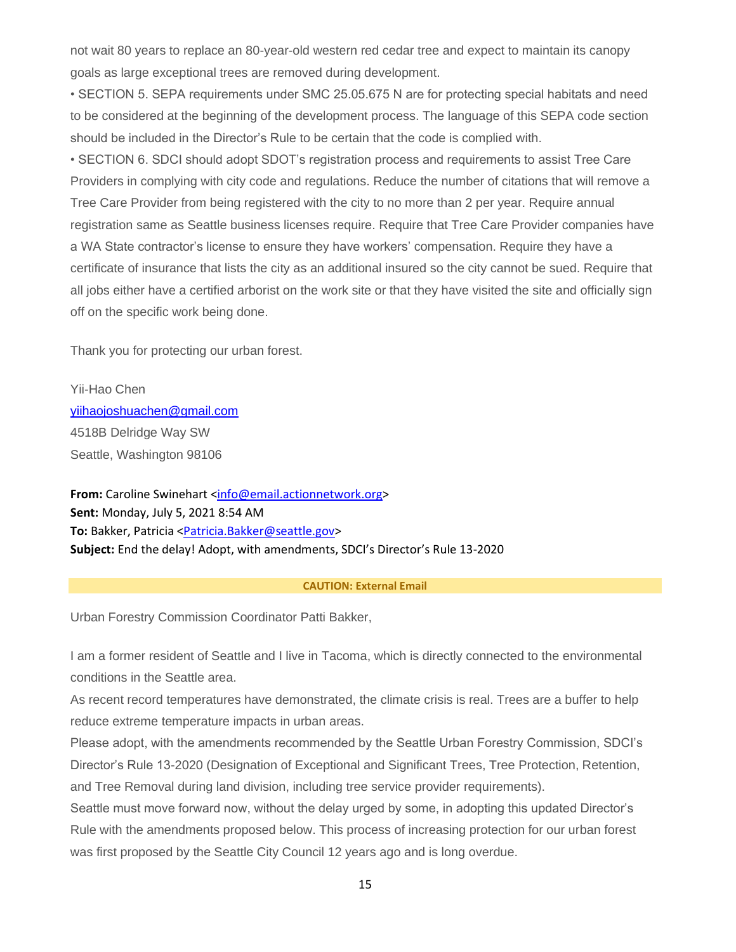not wait 80 years to replace an 80-year-old western red cedar tree and expect to maintain its canopy goals as large exceptional trees are removed during development.

• SECTION 5. SEPA requirements under SMC 25.05.675 N are for protecting special habitats and need to be considered at the beginning of the development process. The language of this SEPA code section should be included in the Director's Rule to be certain that the code is complied with.

• SECTION 6. SDCI should adopt SDOT's registration process and requirements to assist Tree Care Providers in complying with city code and regulations. Reduce the number of citations that will remove a Tree Care Provider from being registered with the city to no more than 2 per year. Require annual registration same as Seattle business licenses require. Require that Tree Care Provider companies have a WA State contractor's license to ensure they have workers' compensation. Require they have a certificate of insurance that lists the city as an additional insured so the city cannot be sued. Require that all jobs either have a certified arborist on the work site or that they have visited the site and officially sign off on the specific work being done.

Thank you for protecting our urban forest.

Yii-Hao Chen [yiihaojoshuachen@gmail.com](mailto:yiihaojoshuachen@gmail.com) 4518B Delridge Way SW Seattle, Washington 98106

**From:** Caroline Swinehart [<info@email.actionnetwork.org>](mailto:info@email.actionnetwork.org) **Sent:** Monday, July 5, 2021 8:54 AM **To:** Bakker, Patricia [<Patricia.Bakker@seattle.gov>](mailto:Patricia.Bakker@seattle.gov) **Subject:** End the delay! Adopt, with amendments, SDCI's Director's Rule 13-2020

#### **CAUTION: External Email**

Urban Forestry Commission Coordinator Patti Bakker,

I am a former resident of Seattle and I live in Tacoma, which is directly connected to the environmental conditions in the Seattle area.

As recent record temperatures have demonstrated, the climate crisis is real. Trees are a buffer to help reduce extreme temperature impacts in urban areas.

Please adopt, with the amendments recommended by the Seattle Urban Forestry Commission, SDCI's Director's Rule 13-2020 (Designation of Exceptional and Significant Trees, Tree Protection, Retention, and Tree Removal during land division, including tree service provider requirements).

Seattle must move forward now, without the delay urged by some, in adopting this updated Director's Rule with the amendments proposed below. This process of increasing protection for our urban forest was first proposed by the Seattle City Council 12 years ago and is long overdue.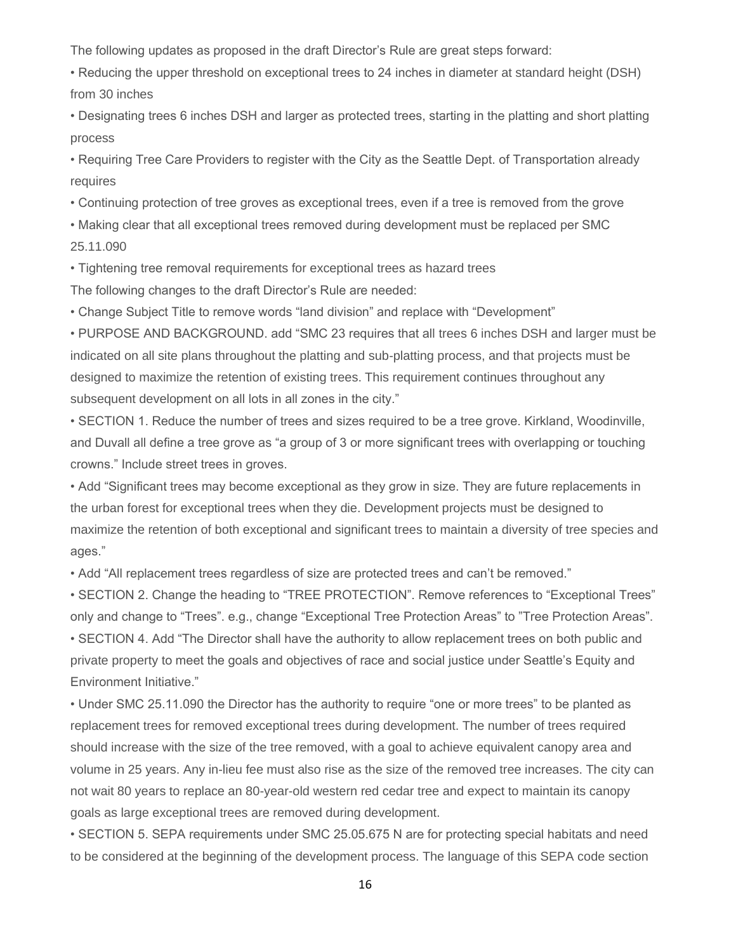The following updates as proposed in the draft Director's Rule are great steps forward:

• Reducing the upper threshold on exceptional trees to 24 inches in diameter at standard height (DSH) from 30 inches

• Designating trees 6 inches DSH and larger as protected trees, starting in the platting and short platting process

• Requiring Tree Care Providers to register with the City as the Seattle Dept. of Transportation already requires

• Continuing protection of tree groves as exceptional trees, even if a tree is removed from the grove

• Making clear that all exceptional trees removed during development must be replaced per SMC 25.11.090

• Tightening tree removal requirements for exceptional trees as hazard trees

The following changes to the draft Director's Rule are needed:

• Change Subject Title to remove words "land division" and replace with "Development"

• PURPOSE AND BACKGROUND. add "SMC 23 requires that all trees 6 inches DSH and larger must be indicated on all site plans throughout the platting and sub-platting process, and that projects must be designed to maximize the retention of existing trees. This requirement continues throughout any subsequent development on all lots in all zones in the city."

• SECTION 1. Reduce the number of trees and sizes required to be a tree grove. Kirkland, Woodinville, and Duvall all define a tree grove as "a group of 3 or more significant trees with overlapping or touching crowns." Include street trees in groves.

• Add "Significant trees may become exceptional as they grow in size. They are future replacements in the urban forest for exceptional trees when they die. Development projects must be designed to maximize the retention of both exceptional and significant trees to maintain a diversity of tree species and ages."

• Add "All replacement trees regardless of size are protected trees and can't be removed."

• SECTION 2. Change the heading to "TREE PROTECTION". Remove references to "Exceptional Trees" only and change to "Trees". e.g., change "Exceptional Tree Protection Areas" to "Tree Protection Areas".

• SECTION 4. Add "The Director shall have the authority to allow replacement trees on both public and private property to meet the goals and objectives of race and social justice under Seattle's Equity and Environment Initiative."

• Under SMC 25.11.090 the Director has the authority to require "one or more trees" to be planted as replacement trees for removed exceptional trees during development. The number of trees required should increase with the size of the tree removed, with a goal to achieve equivalent canopy area and volume in 25 years. Any in-lieu fee must also rise as the size of the removed tree increases. The city can not wait 80 years to replace an 80-year-old western red cedar tree and expect to maintain its canopy goals as large exceptional trees are removed during development.

• SECTION 5. SEPA requirements under SMC 25.05.675 N are for protecting special habitats and need to be considered at the beginning of the development process. The language of this SEPA code section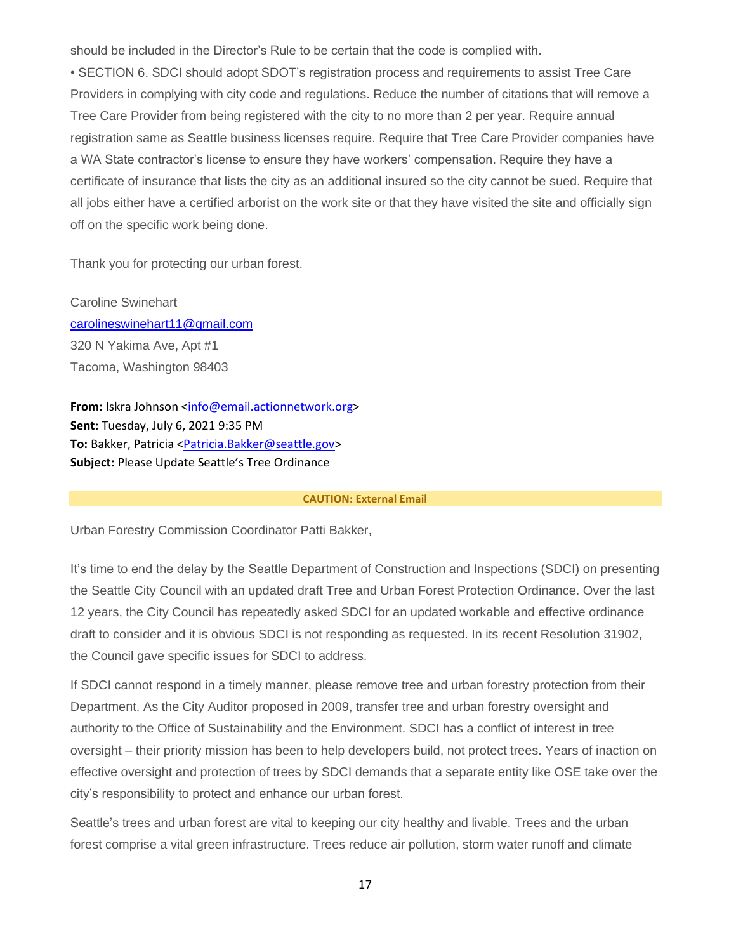should be included in the Director's Rule to be certain that the code is complied with.

• SECTION 6. SDCI should adopt SDOT's registration process and requirements to assist Tree Care Providers in complying with city code and regulations. Reduce the number of citations that will remove a Tree Care Provider from being registered with the city to no more than 2 per year. Require annual registration same as Seattle business licenses require. Require that Tree Care Provider companies have a WA State contractor's license to ensure they have workers' compensation. Require they have a certificate of insurance that lists the city as an additional insured so the city cannot be sued. Require that all jobs either have a certified arborist on the work site or that they have visited the site and officially sign off on the specific work being done.

Thank you for protecting our urban forest.

Caroline Swinehart [carolineswinehart11@gmail.com](mailto:carolineswinehart11@gmail.com) 320 N Yakima Ave, Apt #1 Tacoma, Washington 98403

**From:** Iskra Johnson [<info@email.actionnetwork.org>](mailto:info@email.actionnetwork.org) **Sent:** Tuesday, July 6, 2021 9:35 PM **To:** Bakker, Patricia [<Patricia.Bakker@seattle.gov>](mailto:Patricia.Bakker@seattle.gov) **Subject:** Please Update Seattle's Tree Ordinance

#### **CAUTION: External Email**

Urban Forestry Commission Coordinator Patti Bakker,

It's time to end the delay by the Seattle Department of Construction and Inspections (SDCI) on presenting the Seattle City Council with an updated draft Tree and Urban Forest Protection Ordinance. Over the last 12 years, the City Council has repeatedly asked SDCI for an updated workable and effective ordinance draft to consider and it is obvious SDCI is not responding as requested. In its recent Resolution 31902, the Council gave specific issues for SDCI to address.

If SDCI cannot respond in a timely manner, please remove tree and urban forestry protection from their Department. As the City Auditor proposed in 2009, transfer tree and urban forestry oversight and authority to the Office of Sustainability and the Environment. SDCI has a conflict of interest in tree oversight – their priority mission has been to help developers build, not protect trees. Years of inaction on effective oversight and protection of trees by SDCI demands that a separate entity like OSE take over the city's responsibility to protect and enhance our urban forest.

Seattle's trees and urban forest are vital to keeping our city healthy and livable. Trees and the urban forest comprise a vital green infrastructure. Trees reduce air pollution, storm water runoff and climate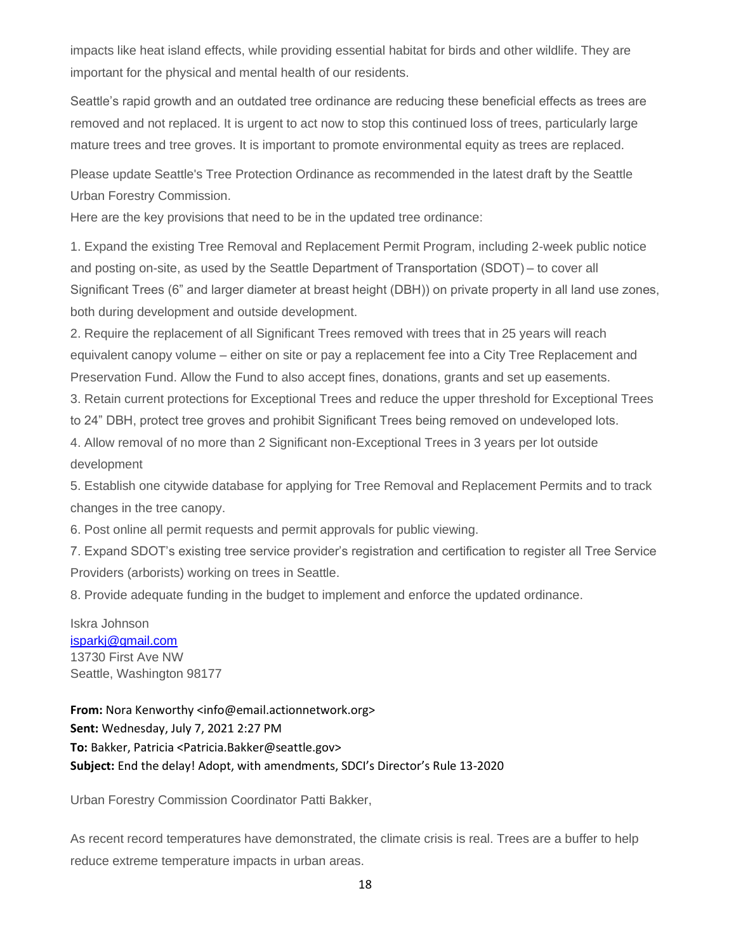impacts like heat island effects, while providing essential habitat for birds and other wildlife. They are important for the physical and mental health of our residents.

Seattle's rapid growth and an outdated tree ordinance are reducing these beneficial effects as trees are removed and not replaced. It is urgent to act now to stop this continued loss of trees, particularly large mature trees and tree groves. It is important to promote environmental equity as trees are replaced.

Please update Seattle's Tree Protection Ordinance as recommended in the latest draft by the Seattle Urban Forestry Commission.

Here are the key provisions that need to be in the updated tree ordinance:

1. Expand the existing Tree Removal and Replacement Permit Program, including 2-week public notice and posting on-site, as used by the Seattle Department of Transportation (SDOT) – to cover all Significant Trees (6" and larger diameter at breast height (DBH)) on private property in all land use zones, both during development and outside development.

2. Require the replacement of all Significant Trees removed with trees that in 25 years will reach equivalent canopy volume – either on site or pay a replacement fee into a City Tree Replacement and Preservation Fund. Allow the Fund to also accept fines, donations, grants and set up easements.

3. Retain current protections for Exceptional Trees and reduce the upper threshold for Exceptional Trees to 24" DBH, protect tree groves and prohibit Significant Trees being removed on undeveloped lots.

4. Allow removal of no more than 2 Significant non-Exceptional Trees in 3 years per lot outside development

5. Establish one citywide database for applying for Tree Removal and Replacement Permits and to track changes in the tree canopy.

6. Post online all permit requests and permit approvals for public viewing.

7. Expand SDOT's existing tree service provider's registration and certification to register all Tree Service Providers (arborists) working on trees in Seattle.

8. Provide adequate funding in the budget to implement and enforce the updated ordinance.

Iskra Johnson [isparkj@gmail.com](mailto:isparkj@gmail.com) 13730 First Ave NW Seattle, Washington 98177

**From:** Nora Kenworthy <info@email.actionnetwork.org> **Sent:** Wednesday, July 7, 2021 2:27 PM **To:** Bakker, Patricia <Patricia.Bakker@seattle.gov> **Subject:** End the delay! Adopt, with amendments, SDCI's Director's Rule 13-2020

Urban Forestry Commission Coordinator Patti Bakker,

As recent record temperatures have demonstrated, the climate crisis is real. Trees are a buffer to help reduce extreme temperature impacts in urban areas.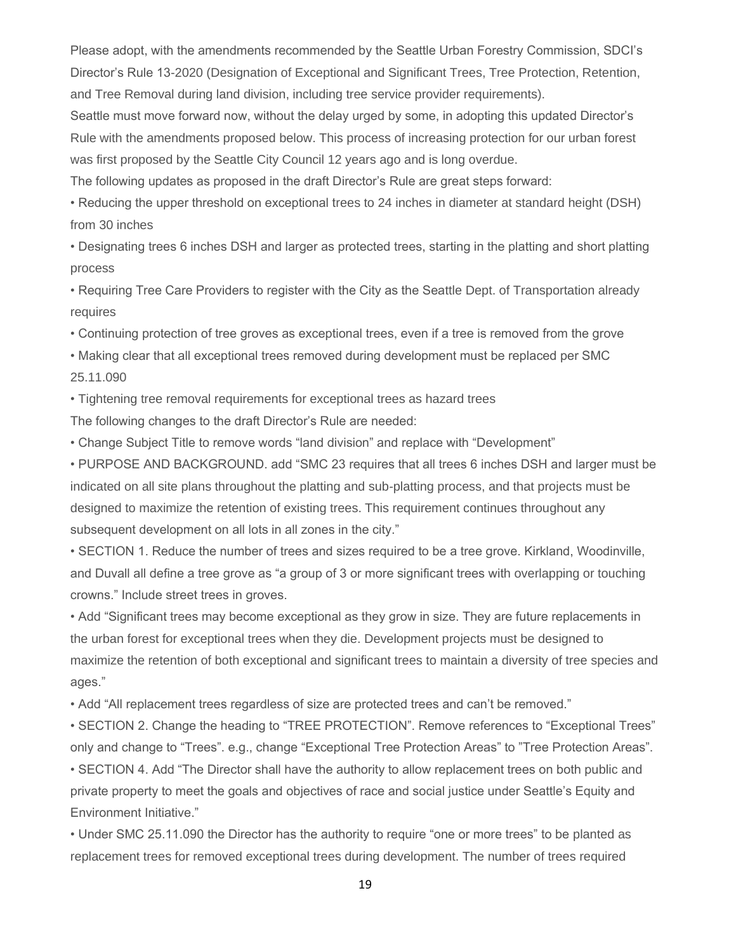Please adopt, with the amendments recommended by the Seattle Urban Forestry Commission, SDCI's Director's Rule 13-2020 (Designation of Exceptional and Significant Trees, Tree Protection, Retention, and Tree Removal during land division, including tree service provider requirements).

Seattle must move forward now, without the delay urged by some, in adopting this updated Director's Rule with the amendments proposed below. This process of increasing protection for our urban forest was first proposed by the Seattle City Council 12 years ago and is long overdue.

The following updates as proposed in the draft Director's Rule are great steps forward:

• Reducing the upper threshold on exceptional trees to 24 inches in diameter at standard height (DSH) from 30 inches

• Designating trees 6 inches DSH and larger as protected trees, starting in the platting and short platting process

• Requiring Tree Care Providers to register with the City as the Seattle Dept. of Transportation already requires

• Continuing protection of tree groves as exceptional trees, even if a tree is removed from the grove

• Making clear that all exceptional trees removed during development must be replaced per SMC 25.11.090

• Tightening tree removal requirements for exceptional trees as hazard trees

The following changes to the draft Director's Rule are needed:

• Change Subject Title to remove words "land division" and replace with "Development"

• PURPOSE AND BACKGROUND. add "SMC 23 requires that all trees 6 inches DSH and larger must be indicated on all site plans throughout the platting and sub-platting process, and that projects must be designed to maximize the retention of existing trees. This requirement continues throughout any subsequent development on all lots in all zones in the city."

• SECTION 1. Reduce the number of trees and sizes required to be a tree grove. Kirkland, Woodinville, and Duvall all define a tree grove as "a group of 3 or more significant trees with overlapping or touching crowns." Include street trees in groves.

• Add "Significant trees may become exceptional as they grow in size. They are future replacements in the urban forest for exceptional trees when they die. Development projects must be designed to maximize the retention of both exceptional and significant trees to maintain a diversity of tree species and ages."

• Add "All replacement trees regardless of size are protected trees and can't be removed."

• SECTION 2. Change the heading to "TREE PROTECTION". Remove references to "Exceptional Trees" only and change to "Trees". e.g., change "Exceptional Tree Protection Areas" to "Tree Protection Areas". • SECTION 4. Add "The Director shall have the authority to allow replacement trees on both public and private property to meet the goals and objectives of race and social justice under Seattle's Equity and Environment Initiative."

• Under SMC 25.11.090 the Director has the authority to require "one or more trees" to be planted as replacement trees for removed exceptional trees during development. The number of trees required

19